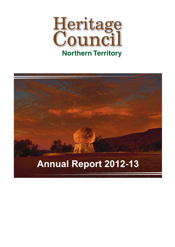

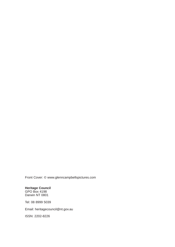Front Cover: © www.glenncampbellspictures.com

**Heritage Council** GPO Box 4198 Darwin NT 0801

Tel: 08 8999 5039

Email: heritagecouncil@nt.gov.au

ISSN: 2202-8226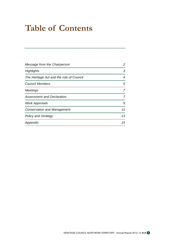# **Table of Contents**

| Message from the Chairperson             | 2  |
|------------------------------------------|----|
| <b>Highlights</b>                        | З  |
| The Heritage Act and the role of Council | 4  |
| <b>Council Members</b>                   | 5  |
| Meetings                                 |    |
| <b>Assessment and Declaration</b>        |    |
| <b>Work Approvals</b>                    | 9  |
| <b>Conservation and Management</b>       | 11 |
| <b>Policy and Strategy</b>               | 13 |
| Appendix                                 | 15 |

HERITAGE COUNCIL NORTHERN TERRITORY - Annual Report 2012-13  $\bullet \bullet \bullet$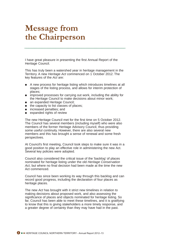### **Message from** the Chairperson

I have great pleasure in presenting the first Annual Report of the Heritage Council.

This has truly been a watershed year in heritage management in the Territory. A new *Heritage Act* commenced on 1 October 2012. The key features of the *Act* are:

- A new process for heritage listing which introduces timelines at all stages of the listing process, and allows for interim protection of places;
- improved processes for carrying out work, including the ability for the Heritage Council to make decisions about minor work;
- an expanded Heritage Council;
- the capacity to list classes of places;
- increased penalties; and
- expanded rights of review

The new Heritage Council met for the first time on 5 October 2012. The Council has several members (including myself) who were also members of the former Heritage Advisory Council, thus providing some useful continuity. However, there are also several new members and this has brought a sense of renewal and some fresh perspectives.

At Council's first meeting, Council took steps to make sure it was in a good position to play an effective role in administering the new Act. Several key policies were adopted.

Council also considered the critical issue of the 'backlog' of places nominated for heritage listing under the old *Heritage Conservation Act*, but where no final decision had been made at the time the new Act commenced.

Council has since been working its way through this backlog and can record good progress, including the declaration of four places as heritage places.

The new *Act* has brought with it strict new timelines in relation to making decisions about proposed work, and also assessing the significance of places and objects nominated for heritage listing. So far, Council has been able to meet these timelines, and it is gratifying to know that this is giving stakeholders a more timely response, and a greater degree of certainty than they may have had in the past.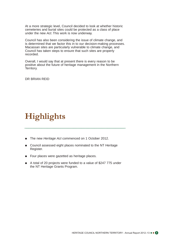At a more strategic level, Council decided to look at whether historic cemeteries and burial sites could be protected as a class of place under the new *Act*. This work is now underway.

Council has also been considering the issue of climate change, and is determined that we factor this in to our decision-making processes. Macassan sites are particularly vulnerable to climate change, and Council has taken steps to ensure that such sites are properly recorded.

Overall, I would say that at present there is every reason to be positive about the future of heritage management in the Northern Territory.

DR BRIAN REID

# Highlights

- The new *Heritage Act* commenced on 1 October 2012.
- Council assessed eight places nominated to the NT Heritage Register.
- Four places were gazetted as heritage places.
- A total of 20 projects were funded to a value of \$247 775 under the NT Heritage Grants Program.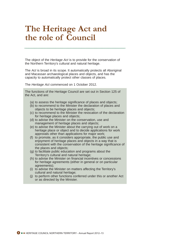### The Heritage Act and the role of Council

The object of the *Heritage Act* is to provide for the conservation of the Northern Territory's cultural and natural heritage.

The *Act* is broad in its scope. It automatically protects all Aboriginal and Macassan archaeological places and objects, and has the capacity to automatically protect other classes of places.

The *Heritage Act* commenced on 1 October 2012.

The functions of the Heritage Council are set out in Section 125 of the Act, and are:

- (a) to assess the heritage significance of places and objects;
- (b) to recommend to the Minister the declaration of places and objects to be heritage places and objects;
- (c) to recommend to the Minister the revocation of the declaration for heritage places and objects;
- (d) to advise the Minister on the conservation, use and management of heritage places and objects;
- (e) to advise the Minister about the carrying out of work on a heritage place or object and to decide applications for work approvals other than applications for major work;
- (f) to promote, as it considers appropriate, the public use and enjoyment of heritage places and objects in a way that is consistent with the conservation of the heritage significance of the places and objects;
- (g) to facilitate public education and programs about the Territory's cultural and natural heritage;
- (h) to advise the Minister on financial incentives or concessions for heritage agreements (either in general or on particular agreements);
- (i) to advise the Minister on matters affecting the Territory's cultural and natural heritage;
- (j) to perform other functions conferred under this or another Act or as directed by the Minister.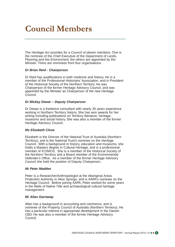# **Council Members**

The *Heritage Act* provides for a Council of eleven members. One is the nominee of the Chief Executive of the Department of Lands, Planning and the Environment; the others are appointed by the Minister. There are nominees from four organisations.

#### *Dr Brian Reid - Chairperson*

Dr Reid has qualifications in both medicine and history. He is a member of the Professional Historians' Association, and is President of the Historical Society of the Northern Territory. He was Chairperson of the former Heritage Advisory Council, and was appointed by the Minister as Chairperson of the new Heritage Council.

#### *Dr Mickey Dewar – Deputy Chairperson*

Dr Dewar is a freelance consultant with nearly 30 years experience working in Northern Territory history. She has won awards for her writing including publications on Territory literature, heritage, museums and social history. She was also a member of the former Heritage Advisory Council.

#### *Ms Elizabeth Close*

Elizabeth is the Director of the National Trust of Australia (Northern Territory), and is the National Trust's nominee on the Heritage Council. With a background in history, education and museums, she holds a Masters degree in Cultural Heritage, and is a professional member of ICOMOS. She is a member of the Historical Society of the Northern Territory and a Board member of the Environmental Defender's Office. As a member of the former Heritage Advisory Council she held the position of Deputy Chairperson.

#### *Mr Peter Madden*

Peter is a Researcher/Anthropologist at the Aboriginal Areas Protection Authority in Alice Springs, and is AAPA's nominee on the Heritage Council. Before joining AAPA, Peter worked for some years in the fields of Native Title and archaeological cultural heritage management.

#### *Mr Allan Garraway*

Allan has a background in accounting and commerce, and is nominee of the Property Council of Australia (Northern Territory). He has a particular interest in appropriate development in the Darwin CBD. He was also a member of the former Heritage Advisory Council.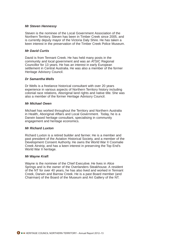#### *Mr Steven Hennessy*

Steven is the nominee of the Local Government Association of the Northern Territory. Steven has been in Timber Creek since 2005, and is currently deputy mayor of the Victoria Daly Shire. He has taken a keen interest in the preservation of the Timber Creek Police Museum.

#### *Mr David Curtis*

David is from Tennant Creek. He has held many posts in the community and local government and was an ATSIC Regional Councillor for 13 years. He has an interest in early European settlement in Central Australia. He was also a member of the former Heritage Advisory Council.

#### *Dr Samantha Wells*

Dr Wells is a freelance historical consultant with over 20 years experience in various aspects of Northern Territory history including colonial race relations, Aboriginal land rights and native title. She was also a member of the former Heritage Advisory Council.

#### *Mr Michael Owen*

Michael has worked throughout the Territory and Northern Australia in Health, Aboriginal Affairs and Local Government. Today, he is a Darwin based heritage consultant, specialising in community engagement and heritage economics.

#### *Mr Richard Luxton*

Richard Luxton is a retired builder and farmer. He is a member and past president of the Aviation Historical Society, and a member of the Development Consent Authority. He owns the World War II Coomalie Creek Airstrip, and has a keen interest in preserving the Top End's World War II heritage.

#### *Mr Wayne Kraft*

Wayne is the nominee of the Chief Executive. He lives in Alice Springs and is the owner of the Overlanders Steakhouse. A resident of the NT for over 40 years, he has also lived and worked in Tennant Creek, Darwin and Barrow Creek. He is a past Board member (and Chairman) of the Board of the Museum and Art Gallery of the NT.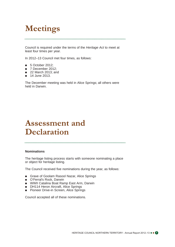# **Meetings**

Council is required under the terms of the *Heritage Act* to meet at least four times per year.

In 2012–13 Council met four times, as follows:

- 5 October 2012;
- 7 December 2012;
- 22 March 2013; and
- 14 June 2013.

The December meeting was held in Alice Springs; all others were held in Darwin.

### **Assessment and Declaration**

#### **Nominations**

The heritage listing process starts with someone nominating a place or object for heritage listing.

The Council received five nominations during the year, as follows:

- Grave of Goolam Rasool Nazar, Alice Springs
- O'Ferral's Rock, Darwin
- WWII Catalina Boat Ramp East Arm, Darwin
- DH114 Heron Aircraft, Alice Springs
- Pioneer Drive-in Screen, Alice Springs

Council accepted all of these nominations.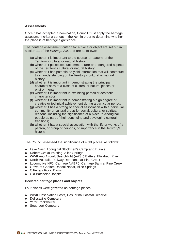#### **Assessments**

Once it has accepted a nomination, Council must apply the heritage assessment criteria set out in the *Act*, in order to determine whether the place is of heritage significance.

The heritage assessment criteria for a place or object are set out in section 11 of the *Heritage Act*, and are as follows:

- (a) whether it is important to the course, or pattern, of the Territory's cultural or natural history;
- (b) whether it possesses uncommon, rare or endangered aspects of the Territory's cultural or natural history.
- (c) whether it has potential to yield information that will contribute to an understanding of the Territory's cultural or natural history;
- (d) whether it is important in demonstrating the principal characteristics of a class of cultural or natural places or environments;
- (e) whether it is important in exhibiting particular aesthetic characteristics;
- (f) whether it is important in demonstrating a high degree of creative or technical achievement during a particular period;
- (g) whether it has a strong or special association with a particular community or cultural group for social, cultural or spiritual reasons, including the significance of a place to Aboriginal people as part of their continuing and developing cultural traditions;
- (h) whether it has a special association with the life or works of a person, or group of persons, of importance in the Territory's history.

The Council assessed the significance of eight places, as follows:

- Lake Nash Aboriginal Stockmen's Camp and Burials
- Robert Czako Painting, Alice Springs
- WWII Anti-Aircraft Searchlight (AASL) Battery, Elizabeth River
- North Australia Railway Remnants at Pine Creek
- Locomotive NF5, Carriage NABP5, Carriage Barn at Pine Creek
- Grave of Goolam Rasool Nazar, Alice Springs
- O'Ferrals Rock, Darwin
- Old Batchelor Hospital

#### **Declared heritage places and objects**

Four places were gazetted as heritage places:

- WWII Observation Posts, Casuarina Coastal Reserve
- Delissaville Cemetery
- Yarar Rockshelter
- Southport Cemetery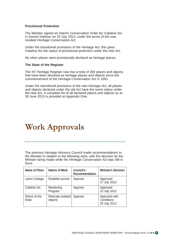#### **Provisional Protection**

The Minister signed an Interim Conservation Order for 'Catalina Six' in Darwin Harbour on 23 July 2012, under the terms of the now revoked *Heritage Conservation Act*.

Under the transitional provisions of the Heritage Act, this gives Catalina Six the status of provisional protection under the new *Act*.

No other places were provisionally declared as heritage places.

#### **The State of the Register**

The NT Heritage Register now has a total of 260 places and objects that have been declared as heritage places and objects since the commencement of the *Heritage Conservation Act* in 1991.

Under the transitional provisions of the new *Heritage Act*, all places and objects declared under the old Act have the same status under the new *Act*. A complete list of all declared places and objects as at 30 June 2013 is provided at Appendix One.

### **Work Approvals**

The previous Heritage Advisory Council made recommendations to the Minister in relation to the following work, with the decision by the Minister being made while the *Heritage Conservation Act* was still in force:

| Name of Place         | <b>Nature of Work</b>        | Council's<br><b>Recommendation</b> | <b>Minister's Decision</b>                  |
|-----------------------|------------------------------|------------------------------------|---------------------------------------------|
| Lyons Cottage         | Disabled access              | Approve                            | Approved<br>17 July 2012                    |
| Catalina Six          | Monitoring<br>Program        | Approve                            | Approved<br>23 July 2012                    |
| Wreck of the<br>Kelat | Relocate isolated<br>objects | Approve                            | Approved with<br>Conditions<br>25 July 2012 |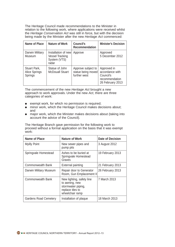The Heritage Council made recommendations to the Minister in relation to the following work, where applications were received whilst the *Heritage Conservation Act* was still in force, but with the decision being made by the Minister after the new *Heritage Act* commenced:

| Name of Place                            | <b>Nature of Work</b>                                                  | Council's<br><b>Recommendation</b>                       | <b>Minister's Decision</b>                                                        |
|------------------------------------------|------------------------------------------------------------------------|----------------------------------------------------------|-----------------------------------------------------------------------------------|
| Darwin Military<br>Museum                | Installation of new<br><b>Vessel Tracking</b><br>System (VTS)<br>radar | Approve                                                  | Approved<br>5 December 2012                                                       |
| Stuart Park,<br>Alice Springs<br>Springs | Statue of John<br><b>McDouall Stuart</b>                               | Approve subject to<br>statue being moved<br>further west | Approved in<br>accordance with<br>Council's<br>recommendation<br>26 February 2013 |

The commencement of the new *Heritage Act* brought a new approach to work approvals. Under the new *Act*, there are three categories of work:

- exempt work, for which no permission is required;
- minor work, which the Heritage Council makes decisions about; and
- major work, which the Minister makes decisions about (taking into account the advice of the Council).

The Heritage Branch gave permission for the following work to proceed without a formal application on the basis that it was exempt work:

| Name of Place                | Nature of Work                                                                                           | <b>Date of Decision</b> |
|------------------------------|----------------------------------------------------------------------------------------------------------|-------------------------|
| <b>Myilly Point</b>          | New sewer pipes and<br>pump pits                                                                         | 3 August 2012           |
| Springvale Homestead         | Ashes to be buried at<br>Springvale Homestead<br>Graves                                                  | 19 February 2013        |
| <b>Commonwealth Bank</b>     | <b>External painting</b>                                                                                 | 21 February 2013        |
| Darwin Military Museum       | Repair door to Generator<br>Room, Gun Emplacement II                                                     | 26 February 2013        |
| Commonwealth Bank            | New lighting, safety line<br>to awning, new<br>stormwater piping,<br>replace tiles to<br>wheelchair ramp | 7 March 2013            |
| <b>Gardens Road Cemetery</b> | Installation of plaque                                                                                   | 18 March 2013           |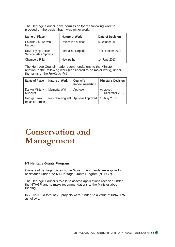The Heritage Council gave permission for the following work to proceed on the basis that it was minor work:

| Name of Place                                        | <b>Nature of Work</b> | <b>Date of Decision</b> |
|------------------------------------------------------|-----------------------|-------------------------|
| Catalina Six, Darwin<br>Harbour                      | Relocation of float   | 5 October 2012          |
| <b>Royal Flying Doctor</b><br>Service, Alice Springs | Formalise carpark     | 7 December 2012         |
| <b>Chambers Pillar</b>                               | New paths             | 14 June 2013            |

The Heritage Council made recommendations to the Minister in relation to the following work (considered to be major work), under the terms of the *Heritage Act*:

| Name of Place                   | <b>Nature of Work</b> | <b>Council's</b><br>Recommendation  | <b>Minister's Decision</b>   |
|---------------------------------|-----------------------|-------------------------------------|------------------------------|
| Darwin Military<br>Museum       | <b>Memorial Wall</b>  | Approve                             | Approved<br>13 December 2012 |
| George Brown<br>Botanic Gardens |                       | New retaining wall Approve Approved | 16 May 2013                  |

# **Conservation and** Management

### **NT Heritage Grants Program**

Owners of heritage places not in Government hands are eligible for assistance under the NT Heritage Grants Program (NTHGP).

The Heritage Council's role is to assess applications received under the NTHGP, and to make recommendations to the Minister about funding.

In 2012–13, a total of 20 projects were funded to a value of **\$247 775** as follows: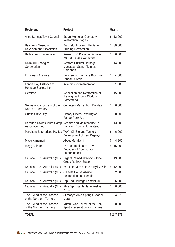| <b>Recipient</b>                                      | Project                                                                  | Grant         |
|-------------------------------------------------------|--------------------------------------------------------------------------|---------------|
| Alice Springs Town Council                            | <b>Stuart Memorial Cemetery</b><br><b>Restoration Stage 2</b>            | \$<br>12 000  |
| <b>Batchelor Museum</b><br>Development Association    | <b>Batchelor Museum Heritage</b><br><b>Building Restoration</b>          | \$<br>30 000  |
| Bethlehem Congregation                                | Research & Preserve Pioneer<br>Hermannsburg Cemetery                     | \$<br>6 0 0 0 |
| Dhimurru Aboriginal<br>Corporation                    | Restore Cultural Heritage:<br><b>Macassan Stone Pictures</b><br>Garanhan | \$<br>14 000  |
| <b>Engineers Australia</b>                            | <b>Engineering Heritage Brochure</b><br><b>Tennant Creek</b>             | \$<br>4 0 0 0 |
| Fannie Bay History and<br>Heritage Society Inc        | <b>Aviators Commemoration</b>                                            | \$<br>1 000   |
| Gemtree                                               | Relocation and Restoration of<br>the original Mount Riddock<br>Homestead | \$<br>15 000  |
| Genealogical Society of the<br>Northern Territory     | <b>Cemetery Marker Fort Dundas</b>                                       | \$<br>6 300   |
| <b>Griffith University</b>                            | History Places - Wellington<br>Range Rock Art                            | \$<br>20 000  |
| Hamilton Downs Youth Camp<br>Association Inc          | Repairs and Maintenance to<br><b>Hamilton Downs Homestead</b>            | \$<br>13 800  |
| Marchant Enterprises Pty Ltd                          | <b>WWII Oil Storage Tunnels -</b><br>Development of new Displays         | \$<br>6 0 0 0 |
| Mayu Kanamori                                         | About Murakami                                                           | \$<br>4 200   |
| Megg Kelham                                           | The Totem Theatre - Five<br>Decades of Community<br>Entertainment        | \$<br>15 000  |
| National Trust Australia (NT)                         | <b>Urgent Remedial Works - Pine</b><br><b>Creek Railway Station</b>      | \$<br>19 000  |
| National Trust Australia (NT)                         | Works to Mines House Myilly Point                                        | \$<br>12 000  |
| National Trust Australia (NT)                         | O'Keefe House Ablution<br><b>Restoration and Repairs</b>                 | \$<br>32 800  |
| National Trust Australia (NT)                         | Top End Heritage Festival 2013                                           | \$<br>6 000   |
| National Trust Australia (NT)                         | Alice Springs Heritage Festival<br>2013                                  | \$<br>6 000   |
| The Synod of the Diocese<br>of the Northern Territory | St Mary's Alice Springs Chapel<br>Mural                                  | \$<br>4675    |
| The Synod of the Diocese<br>of the Northern Territory | Numbulwar Church of the Holy<br>Spirit Preservation Programme            | \$<br>20 000  |
| <b>TOTAL</b>                                          |                                                                          | \$247775      |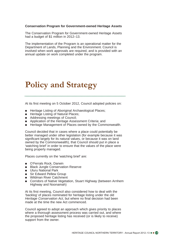#### **Conservation Program for Government-owned Heritage Assets**

The Conservation Program for Government-owned Heritage Assets had a budget of \$1 million in 2012–13.

The implementation of the Program is an operational matter for the Department of Lands, Planning and the Environment. Council is involved when work approvals are required, and is provided with an annual update on work completed under the program.

# **Policy and Strategy**

At its first meeting on 5 October 2012, Council adopted policies on:

- Heritage Listing of Aboriginal Archaeological Places;
- Heritage Listing of Natural Places;
- Addressing meetings of Council:
- Application of the Heritage Assessment Criteria: and
- Heritage Management of Places owned by the Commonwealth.

Council decided that in cases where a place could potentially be better managed under other legislation (for example because it was significant largely for its natural values, or because it was on land owned by the Commonwealth), that Council should put in place a 'watching brief' in order to ensure that the values of the place were being properly managed.

Places currently on the 'watching brief' are:

- O'Ferrals Rock, Darwin
- Black Jungle Conservation Reserve
- Uluru National Park
- Sir Edward Pellew Group
- Wildman River Catchment
- Corridors of Native Vegetation, Stuart Highway (between Arnhem Highway and Noonamah)

At its first meeting, Council also considered how to deal with the 'backlog' of places nominated for heritage listing under the old *Heritage Conservation Act*, but where no final decision had been made at the time the new Act commenced.

Council agreed to adopt an approach which gives priority to places where a thorough assessment process was carried out, and where the proposed heritage listing has received (or is likely to receive) support from the owner.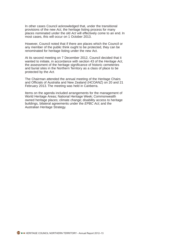In other cases Council acknowledged that, under the transitional provisions of the new *Act*, the heritage listing process for many places nominated under the old *Act* will effectively come to an end. In most cases, this will occur on 1 October 2013.

However, Council noted that if there are places which the Council or any member of the public think ought to be protected, they can be renominated for heritage listing under the new Act.

At its second meeting on 7 December 2012, Council decided that it wanted to initiate, in accordance with section 43 of the *Heritage Act*, the assessment of the heritage significance of historic cemeteries and burial sites in the Northern Territory as a class of place to be protected by the *Act*.

The Chairman attended the annual meeting of the Heritage Chairs and Officials of Australia and New Zealand (HCOANZ) on 20 and 21 February 2013. The meeting was held in Canberra.

Items on the agenda included arrangements for the management of World Heritage Areas; National Heritage Week; Commonwealth owned heritage places; climate change; disability access to heritage buildings, bilateral agreements under the *EPBC Act*; and the Australian Heritage Strategy.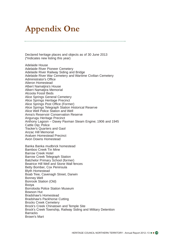# **Appendix One**

Declared heritage places and objects as of 30 June 2013 (\*indicates new listing this year)

Adelaide House Adelaide River Pioneer Cemetery Adelaide River Railway Siding and Bridge Adelaide River War Cemetery and Wartime Civilian Cemetery Administrator's Office Aileron Homestead Albert Namatiira's House Albert Namatiira Memorial Alcoota Fossil Beds Alice Springs General Cemetery Alice Springs Heritage Precinct Alice Springs Post Office (Former) Alice Springs Telegraph Station Historical Reserve Alice Well Police Station and Well Anna's Reservoir Conservation Reserve Angurugu Heritage Precinct Anthony Lagoon – Davey Paxman Steam Engine; 1906 and 1945 Cattle Dip; Police Tracker's Quarters and Gaol Anzac Hill Memorial Araluen Homestead Precinct Avon Downs Homestead

Banka Banka mudbrick homestead Bamboo Creek Tin Mine Barrow Creek Hotel Barrow Creek Telegraph Station Batchelor Primary School (former) Beatrice Hill Well and Stone Wall fences Betty Bomber, Cox Peninsula Blyth Homestead Boab Tree, Cavenagh Street, Darwin Bonney Well Bonrook Station (Old) Booya Borroloola Police Station Museum Bowson Hut Bradshaw's Homestead Bradshaw's Packhorse Cutting Brocks Creek Cemetery Brock's Creek Chinatown and Temple Site Brock's Creek Township, Railway Siding and Military Detention **Barracks** Brown's Mart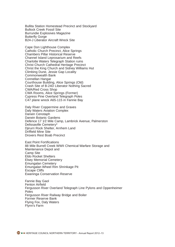Bullita Station Homestead Precinct and Stockyard Bullock Creek Fossil Site Burrundie Explosives Magazine Butterfly Gorge B24-J Liberator Aircraft Wreck Site

Cape Don Lighthouse Complex Catholic Church Precinct, Alice Springs Chambers Pillar Historical Reserve Channel Island Leprosarium and Reefs Charlotte Waters Telegraph Station ruins Christ Church Cathedral Heritage Precinct Christ the King Church and Sidney Williams Hut Climbing Dune, Jessie Gap Locality Commonwealth Bank Connellan Hangar Courthouse Building, Alice Springs (Old) Crash Site of B-24D Liberator Nothing Sacred CWA/Red Cross Shop CWA Rooms, Alice Springs (Former) Cypress Pine Overland Telegraph Poles C47 plane wreck A65-115 in Fannie Bay

Daly River Coppermine and Graves Daly Waters Aviation Complex Darwin Cenotaph Darwin Botanic Gardens Defence 17 1⁄2 Mile Camp, Lambrick Avenue, Palmerston Delissaville Cemetery\* Djirurri Rock Shelter, Arnhem Land Driffield Mine Site Drovers Rest Boab Precinct

East Point Fortifications 88 Mile Burrell Creek WWII Chemical Warfare Storage and Maintenance Depot and Camp Site Eldo Rocket Shelters Elsey Memorial Cemetery Emungalan Cemetery Emungalan Wheel Rim Shrinkage Pit Escape Cliffs Ewaninga Conservation Reserve

Fannie Bay Gaol Fenton Airfield Fergusson River Overland Telegraph Line Pylons and Oppenheimer **Poles** Fergusson River Railway Bridge and Boiler Former Reserve Bank Flying Fox, Daly Waters Flynn's Farm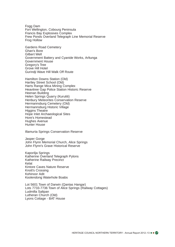Fogg Dam Fort Wellington, Cobourg Peninsula Francis Bay Explosives Complex Frew Ponds Overland Telegraph Line Memorial Reserve Frog Hollow

Gardens Road Cemetery Ghan's Bore Gilbert Well Government Battery and Cyanide Works, Arltunga Government House Gregory's Tree Grove Hill Hotel Gurindji Wave Hill Walk Off Route

Hamilton Downs Station (Old) Hartley Street School (Old) Harts Range Mica Mining Complex Heavitree Gap Police Station Historic Reserve Heenan Building Helen Springs Quarry (Kurutiti) Henbury Meteorites Conservation Reserve Hermannsburg Cemetery (Old) Hermannsburg Historic Village Higgins Theatre Hope Inlet Archaeological Sites Hore's Homestead Hughes Avenue Hunter House

Illamurta Springs Conservation Reserve

Jasper Gorge John Flynn Memorial Church, Alice Springs John Flynn's Grave Historical Reserve

Kaporilja Springs Katherine Overland Telegraph Pylons Katherine Railway Precinct Kelat Kintore Caves Nature Reserve Knott's Crossing Kohinoor Adit Koolendong Waterhole Boabs

Lot 5601 Town of Darwin (Qantas Hangar) Lots 7733-7736 Town of Alice Springs (Railway Cottages) Ludmilla Saltpan Lutheran Church (Old) Lyons Cottage - BAT House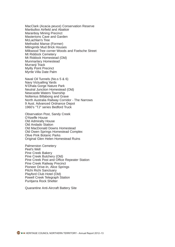MacClark (Acacia peuce) Conservation Reserve Manbulloo Airfield and Abattoir Maranboy Mining Precinct Mastertons Cave and Garden McLachlan's Tree Methodist Manse (Former) Milingimbi Mud Brick Houses Milkwood Tree corner Woods and Foelsche Street Mt Riddock Cemetery Mt Riddock Homestead (Old) Munmarlary Homestead Murranji Track Myilly Point Precinct Myrtle Villa Date Palm

Naval Oil Tunnels (No.s 5 & 6) Navy Victualling Yards N'Dhala Gorge Nature Park Neutral Junction Homestead (Old) Newcastle Waters Township Noltenius Billabong and Grave North Australia Railway Corridor - The Narrows 9 Aust. Advanced Ordnance Depot 1960's "TJ" series Bedford Truck

Observation Post, Sandy Creek O'Keeffe House Old Admiralty House Old Andado Station Old MacDonald Downs Homestead Old Owen Springs Homestead Complex Olive Pink Botanic Parks Original Glen Helen Homestead Ruins

Palmerston Cemetery Peel's Well Pine Creek Bakery Pine Creek Butchery (Old) Pine Creek Post and Office Repeater Station Pine Creek Railway Precinct Pioneer Drive-In, Alice Springs Pitchi Richi Sanctuary Playford Club Hotel (Old) Powell Creek Telegraph Station Puritjarra Rock Shelter

Quarantine Anti-Aircraft Battery Site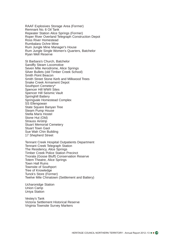RAAF Explosives Storage Area (Former) Remnant No. 6 Oil Tank Repeater Station Alice Springs (Former) Roper River Overland Telegraph Construction Depot Ross River Homestead Rumbalara Ochre Mine Rum Jungle Mine Manager's House Rum Jungle Single Women's Quarters, Batchelor Ryan Well Reserve

St Barbara's Church, Batchelor Sandfly Steam Locomotive Seven Mile Aerodrome, Alice Springs Silver Bullets (old Timber Creek School) Smith Point Beacon Smith Street Stone Kerb and Milkwood Trees Snake Creek Armament Depot Southport Cemetery\* Spencer Hill WWII Sites Spencer Hill Seismic Vault Springhill Battery Springvale Homestead Complex SS Ellengowan State Square Banyan Tree Steam Pump House Stella Maris Hostel Stone Hut (Old) Strauss Airstrip Stuart Memorial Cemetery Stuart Town Gaol Sue Wah Chin Building 17 Shepherd Street

Tennant Creek Hospital Outpatients Department Tennant Creek Telegraph Station The Residency, Alice Springs Timber Creek Police Station Precinct Tnorala (Gosse Bluff) Conservation Reserve Totem Theatre, Alice Springs Town Hall Ruins Townsite of Southport Tree of Knowledge Tunck's Store (Former) Twelve Mile Chinatown (Settlement and Battery)

Ucharonidge Station Union Camp Uniya Station

Vestey's Tank Victoria Settlement Historical Reserve Virginia Townsite Survey Markers